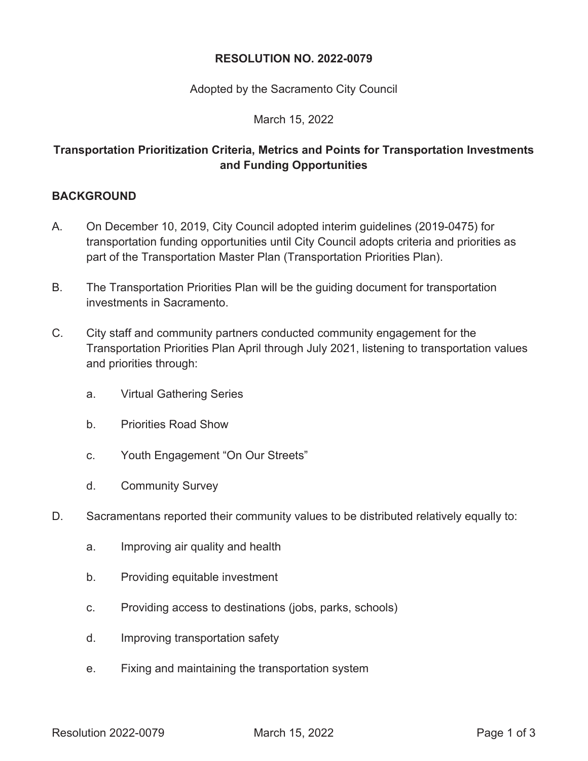#### **RESOLUTION NO. 2022-0079**

Adopted by the Sacramento City Council

March 15, 2022

## **Transportation Prioritization Criteria, Metrics and Points for Transportation Investments and Funding Opportunities**

### **BACKGROUND**

- A. On December 10, 2019, City Council adopted interim guidelines (2019-0475) for transportation funding opportunities until City Council adopts criteria and priorities as part of the Transportation Master Plan (Transportation Priorities Plan).
- B. The Transportation Priorities Plan will be the guiding document for transportation investments in Sacramento.
- C. City staff and community partners conducted community engagement for the Transportation Priorities Plan April through July 2021, listening to transportation values and priorities through:
	- a. Virtual Gathering Series
	- b. Priorities Road Show
	- c. Youth Engagement "On Our Streets"
	- d. Community Survey
- D. Sacramentans reported their community values to be distributed relatively equally to:
	- a. Improving air quality and health
	- b. Providing equitable investment
	- c. Providing access to destinations (jobs, parks, schools)
	- d. Improving transportation safety
	- e. Fixing and maintaining the transportation system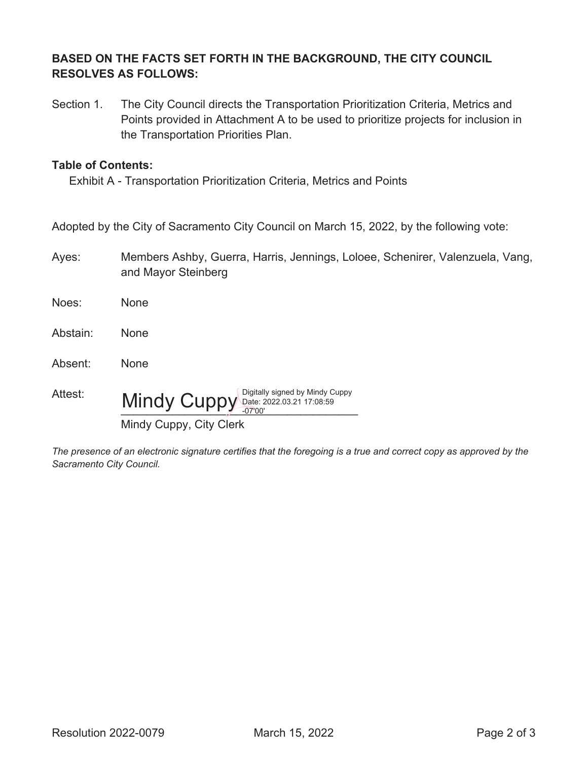### **BASED ON THE FACTS SET FORTH IN THE BACKGROUND, THE CITY COUNCIL RESOLVES AS FOLLOWS:**

Section 1. The City Council directs the Transportation Prioritization Criteria, Metrics and Points provided in Attachment A to be used to prioritize projects for inclusion in the Transportation Priorities Plan.

#### **Table of Contents:**

Exhibit A - Transportation Prioritization Criteria, Metrics and Points

Adopted by the City of Sacramento City Council on March 15, 2022, by the following vote:

| Ayes: | Members Ashby, Guerra, Harris, Jennings, Loloee, Schenirer, Valenzuela, Vang, |
|-------|-------------------------------------------------------------------------------|
|       | and Mayor Steinberg                                                           |

| Noes:    | None                                                                                  |
|----------|---------------------------------------------------------------------------------------|
| Abstain: | None                                                                                  |
| Absent:  | None                                                                                  |
| Attest:  | Digitally signed by Mindy Cuppy<br>Mindy Cuppy Date: 2022.03.21 17:08:59<br>$-07'00'$ |
|          | Mindy Cuppy, City Clerk                                                               |

*The presence of an electronic signature certifies that the foregoing is a true and correct copy as approved by the Sacramento City Council.*